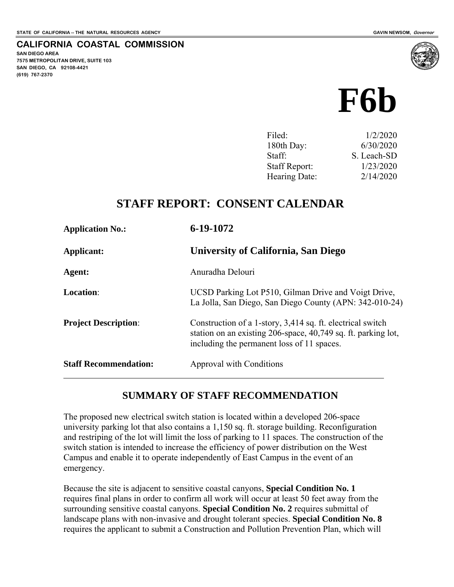**SAN DIEGO AREA** 

**(619) 767-2370**

**7575 METROPOLITAN DRIVE, SUITE 103 SAN DIEGO, CA 92108-4421** 

**CALIFORNIA COASTAL COMMISSION** 

# **F6b**

| Filed:               | 1/2/2020    |
|----------------------|-------------|
| 180th Day:           | 6/30/2020   |
| Staff:               | S. Leach-SD |
| <b>Staff Report:</b> | 1/23/2020   |
| Hearing Date:        | 2/14/2020   |

#### **STAFF REPORT: CONSENT CALENDAR**

| <b>Application No.:</b>      | 6-19-1072                                                                                                                                                                 |
|------------------------------|---------------------------------------------------------------------------------------------------------------------------------------------------------------------------|
| Applicant:                   | <b>University of California, San Diego</b>                                                                                                                                |
| Agent:                       | Anuradha Delouri                                                                                                                                                          |
| <b>Location:</b>             | UCSD Parking Lot P510, Gilman Drive and Voigt Drive,<br>La Jolla, San Diego, San Diego County (APN: 342-010-24)                                                           |
| <b>Project Description:</b>  | Construction of a 1-story, 3,414 sq. ft. electrical switch<br>station on an existing 206-space, 40,749 sq. ft. parking lot,<br>including the permanent loss of 11 spaces. |
| <b>Staff Recommendation:</b> | Approval with Conditions                                                                                                                                                  |

#### **SUMMARY OF STAFF RECOMMENDATION**

The proposed new electrical switch station is located within a developed 206-space university parking lot that also contains a 1,150 sq. ft. storage building. Reconfiguration and restriping of the lot will limit the loss of parking to 11 spaces. The construction of the switch station is intended to increase the efficiency of power distribution on the West Campus and enable it to operate independently of East Campus in the event of an emergency.

Because the site is adjacent to sensitive coastal canyons, **Special Condition No. 1** requires final plans in order to confirm all work will occur at least 50 feet away from the surrounding sensitive coastal canyons. **Special Condition No. 2** requires submittal of landscape plans with non-invasive and drought tolerant species. **Special Condition No. 8** requires the applicant to submit a Construction and Pollution Prevention Plan, which will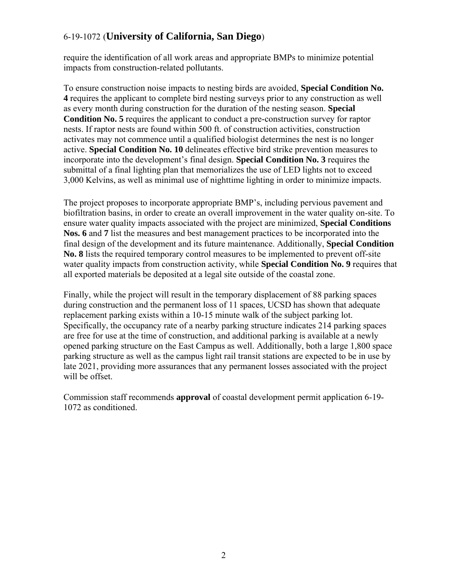require the identification of all work areas and appropriate BMPs to minimize potential impacts from construction-related pollutants.

To ensure construction noise impacts to nesting birds are avoided, **Special Condition No. 4** requires the applicant to complete bird nesting surveys prior to any construction as well as every month during construction for the duration of the nesting season. **Special Condition No. 5** requires the applicant to conduct a pre-construction survey for raptor nests. If raptor nests are found within 500 ft. of construction activities, construction activates may not commence until a qualified biologist determines the nest is no longer active. **Special Condition No. 10** delineates effective bird strike prevention measures to incorporate into the development's final design. **Special Condition No. 3** requires the submittal of a final lighting plan that memorializes the use of LED lights not to exceed 3,000 Kelvins, as well as minimal use of nighttime lighting in order to minimize impacts.

The project proposes to incorporate appropriate BMP's, including pervious pavement and biofiltration basins, in order to create an overall improvement in the water quality on-site. To ensure water quality impacts associated with the project are minimized, **Special Conditions Nos. 6** and **7** list the measures and best management practices to be incorporated into the final design of the development and its future maintenance. Additionally, **Special Condition No. 8** lists the required temporary control measures to be implemented to prevent off-site water quality impacts from construction activity, while **Special Condition No. 9** requires that all exported materials be deposited at a legal site outside of the coastal zone.

Finally, while the project will result in the temporary displacement of 88 parking spaces during construction and the permanent loss of 11 spaces, UCSD has shown that adequate replacement parking exists within a 10-15 minute walk of the subject parking lot. Specifically, the occupancy rate of a nearby parking structure indicates 214 parking spaces are free for use at the time of construction, and additional parking is available at a newly opened parking structure on the East Campus as well. Additionally, both a large 1,800 space parking structure as well as the campus light rail transit stations are expected to be in use by late 2021, providing more assurances that any permanent losses associated with the project will be offset.

Commission staff recommends **approval** of coastal development permit application 6-19- 1072 as conditioned.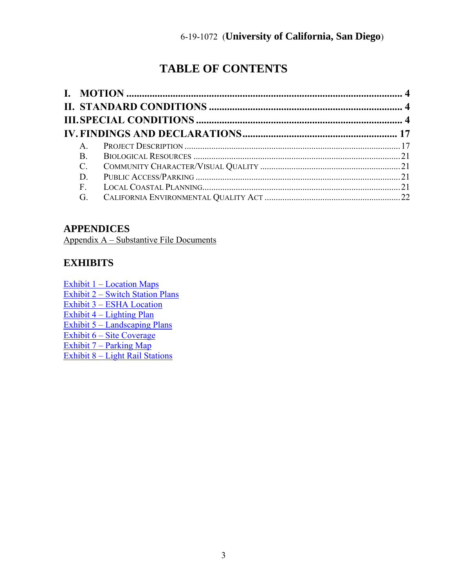## **TABLE OF CONTENTS**

#### **APPENDICES**

Appendix A – Substantive File Documents

#### **EXHIBITS**

[Exhibit 1 – Location Maps](https://documents.coastal.ca.gov/reports/2020/2/f6b/f6b-2-2020-exhibits.pdf)  [Exhibit 2 – Switch Station Plans](https://documents.coastal.ca.gov/reports/2020/2/f6b/f6b-2-2020-exhibits.pdf)  [Exhibit 3 – ESHA Location](https://documents.coastal.ca.gov/reports/2020/2/f6b/f6b-2-2020-exhibits.pdf)  [Exhibit 4 – Lighting Plan](https://documents.coastal.ca.gov/reports/2020/2/f6b/f6b-2-2020-exhibits.pdf)  [Exhibit 5 – Landscaping Plans](https://documents.coastal.ca.gov/reports/2020/2/f6b/f6b-2-2020-exhibits.pdf)  [Exhibit 6 – Site Coverage](https://documents.coastal.ca.gov/reports/2020/2/f6b/f6b-2-2020-exhibits.pdf) [Exhibit 7 – Parking Map](https://documents.coastal.ca.gov/reports/2020/2/f6b/f6b-2-2020-exhibits.pdf)  [Exhibit 8 – Light Rail Stations](https://documents.coastal.ca.gov/reports/2020/2/f6b/f6b-2-2020-exhibits.pdf)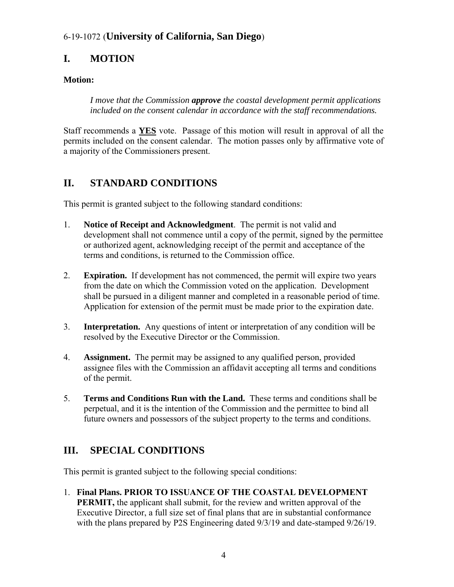### <span id="page-3-0"></span>**I. MOTION**

#### **Motion:**

*I move that the Commission approve the coastal development permit applications included on the consent calendar in accordance with the staff recommendations.* 

Staff recommends a **YES** vote. Passage of this motion will result in approval of all the permits included on the consent calendar. The motion passes only by affirmative vote of a majority of the Commissioners present.

#### <span id="page-3-1"></span>**II. STANDARD CONDITIONS**

This permit is granted subject to the following standard conditions:

- 1. **Notice of Receipt and Acknowledgment**. The permit is not valid and development shall not commence until a copy of the permit, signed by the permittee or authorized agent, acknowledging receipt of the permit and acceptance of the terms and conditions, is returned to the Commission office.
- 2. **Expiration.** If development has not commenced, the permit will expire two years from the date on which the Commission voted on the application. Development shall be pursued in a diligent manner and completed in a reasonable period of time. Application for extension of the permit must be made prior to the expiration date.
- 3. **Interpretation.** Any questions of intent or interpretation of any condition will be resolved by the Executive Director or the Commission.
- 4. **Assignment.** The permit may be assigned to any qualified person, provided assignee files with the Commission an affidavit accepting all terms and conditions of the permit.
- 5. **Terms and Conditions Run with the Land.** These terms and conditions shall be perpetual, and it is the intention of the Commission and the permittee to bind all future owners and possessors of the subject property to the terms and conditions.

#### <span id="page-3-2"></span>**III. SPECIAL CONDITIONS**

This permit is granted subject to the following special conditions:

1. **Final Plans. PRIOR TO ISSUANCE OF THE COASTAL DEVELOPMENT PERMIT,** the applicant shall submit, for the review and written approval of the Executive Director, a full size set of final plans that are in substantial conformance with the plans prepared by P2S Engineering dated  $9/3/19$  and date-stamped  $9/26/19$ .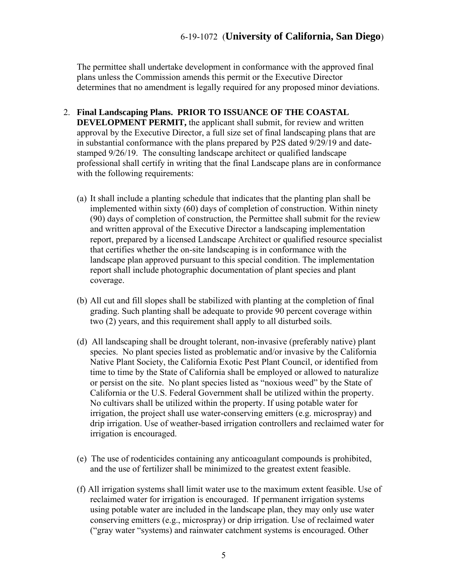The permittee shall undertake development in conformance with the approved final plans unless the Commission amends this permit or the Executive Director determines that no amendment is legally required for any proposed minor deviations.

- 2. **Final Landscaping Plans. PRIOR TO ISSUANCE OF THE COASTAL DEVELOPMENT PERMIT,** the applicant shall submit, for review and written approval by the Executive Director, a full size set of final landscaping plans that are in substantial conformance with the plans prepared by P2S dated 9/29/19 and datestamped 9/26/19. The consulting landscape architect or qualified landscape professional shall certify in writing that the final Landscape plans are in conformance with the following requirements:
	- (a) It shall include a planting schedule that indicates that the planting plan shall be implemented within sixty (60) days of completion of construction. Within ninety (90) days of completion of construction, the Permittee shall submit for the review and written approval of the Executive Director a landscaping implementation report, prepared by a licensed Landscape Architect or qualified resource specialist that certifies whether the on-site landscaping is in conformance with the landscape plan approved pursuant to this special condition. The implementation report shall include photographic documentation of plant species and plant coverage.
	- (b) All cut and fill slopes shall be stabilized with planting at the completion of final grading. Such planting shall be adequate to provide 90 percent coverage within two (2) years, and this requirement shall apply to all disturbed soils.
	- (d) All landscaping shall be drought tolerant, non-invasive (preferably native) plant species. No plant species listed as problematic and/or invasive by the California Native Plant Society, the California Exotic Pest Plant Council, or identified from time to time by the State of California shall be employed or allowed to naturalize or persist on the site. No plant species listed as "noxious weed" by the State of California or the U.S. Federal Government shall be utilized within the property. No cultivars shall be utilized within the property. If using potable water for irrigation, the project shall use water-conserving emitters (e.g. microspray) and drip irrigation. Use of weather-based irrigation controllers and reclaimed water for irrigation is encouraged.
	- (e) The use of rodenticides containing any anticoagulant compounds is prohibited, and the use of fertilizer shall be minimized to the greatest extent feasible.
	- (f) All irrigation systems shall limit water use to the maximum extent feasible. Use of reclaimed water for irrigation is encouraged. If permanent irrigation systems using potable water are included in the landscape plan, they may only use water conserving emitters (e.g., microspray) or drip irrigation. Use of reclaimed water ("gray water "systems) and rainwater catchment systems is encouraged. Other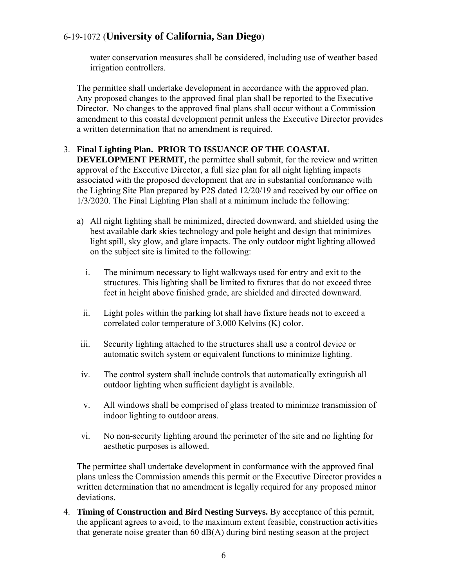water conservation measures shall be considered, including use of weather based irrigation controllers.

The permittee shall undertake development in accordance with the approved plan. Any proposed changes to the approved final plan shall be reported to the Executive Director. No changes to the approved final plans shall occur without a Commission amendment to this coastal development permit unless the Executive Director provides a written determination that no amendment is required.

#### 3. **Final Lighting Plan. PRIOR TO ISSUANCE OF THE COASTAL**

**DEVELOPMENT PERMIT,** the permittee shall submit, for the review and written approval of the Executive Director, a full size plan for all night lighting impacts associated with the proposed development that are in substantial conformance with the Lighting Site Plan prepared by P2S dated 12/20/19 and received by our office on 1/3/2020. The Final Lighting Plan shall at a minimum include the following:

- a) All night lighting shall be minimized, directed downward, and shielded using the best available dark skies technology and pole height and design that minimizes light spill, sky glow, and glare impacts. The only outdoor night lighting allowed on the subject site is limited to the following:
	- i. The minimum necessary to light walkways used for entry and exit to the structures. This lighting shall be limited to fixtures that do not exceed three feet in height above finished grade, are shielded and directed downward.
	- ii. Light poles within the parking lot shall have fixture heads not to exceed a correlated color temperature of 3,000 Kelvins (K) color.
- iii. Security lighting attached to the structures shall use a control device or automatic switch system or equivalent functions to minimize lighting.
- iv. The control system shall include controls that automatically extinguish all outdoor lighting when sufficient daylight is available.
- v. All windows shall be comprised of glass treated to minimize transmission of indoor lighting to outdoor areas.
- vi. No non-security lighting around the perimeter of the site and no lighting for aesthetic purposes is allowed.

The permittee shall undertake development in conformance with the approved final plans unless the Commission amends this permit or the Executive Director provides a written determination that no amendment is legally required for any proposed minor deviations.

4. **Timing of Construction and Bird Nesting Surveys.** By acceptance of this permit, the applicant agrees to avoid, to the maximum extent feasible, construction activities that generate noise greater than 60 dB(A) during bird nesting season at the project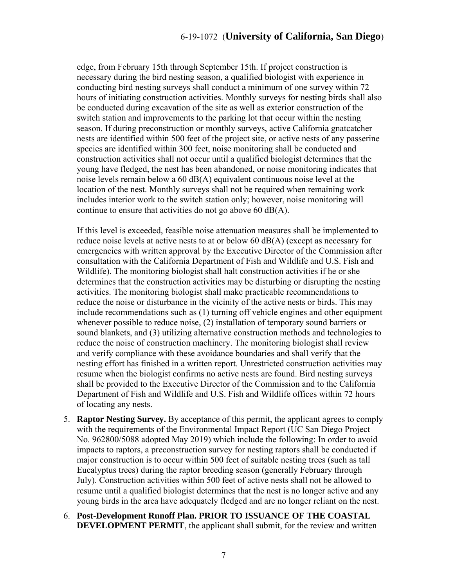edge, from February 15th through September 15th. If project construction is necessary during the bird nesting season, a qualified biologist with experience in conducting bird nesting surveys shall conduct a minimum of one survey within 72 hours of initiating construction activities. Monthly surveys for nesting birds shall also be conducted during excavation of the site as well as exterior construction of the switch station and improvements to the parking lot that occur within the nesting season. If during preconstruction or monthly surveys, active California gnatcatcher nests are identified within 500 feet of the project site, or active nests of any passerine species are identified within 300 feet, noise monitoring shall be conducted and construction activities shall not occur until a qualified biologist determines that the young have fledged, the nest has been abandoned, or noise monitoring indicates that noise levels remain below a 60 dB(A) equivalent continuous noise level at the location of the nest. Monthly surveys shall not be required when remaining work includes interior work to the switch station only; however, noise monitoring will continue to ensure that activities do not go above 60 dB(A).

If this level is exceeded, feasible noise attenuation measures shall be implemented to reduce noise levels at active nests to at or below 60 dB(A) (except as necessary for emergencies with written approval by the Executive Director of the Commission after consultation with the California Department of Fish and Wildlife and U.S. Fish and Wildlife). The monitoring biologist shall halt construction activities if he or she determines that the construction activities may be disturbing or disrupting the nesting activities. The monitoring biologist shall make practicable recommendations to reduce the noise or disturbance in the vicinity of the active nests or birds. This may include recommendations such as (1) turning off vehicle engines and other equipment whenever possible to reduce noise, (2) installation of temporary sound barriers or sound blankets, and (3) utilizing alternative construction methods and technologies to reduce the noise of construction machinery. The monitoring biologist shall review and verify compliance with these avoidance boundaries and shall verify that the nesting effort has finished in a written report. Unrestricted construction activities may resume when the biologist confirms no active nests are found. Bird nesting surveys shall be provided to the Executive Director of the Commission and to the California Department of Fish and Wildlife and U.S. Fish and Wildlife offices within 72 hours of locating any nests.

- 5. **Raptor Nesting Survey.** By acceptance of this permit, the applicant agrees to comply with the requirements of the Environmental Impact Report (UC San Diego Project No. 962800/5088 adopted May 2019) which include the following: In order to avoid impacts to raptors, a preconstruction survey for nesting raptors shall be conducted if major construction is to occur within 500 feet of suitable nesting trees (such as tall Eucalyptus trees) during the raptor breeding season (generally February through July). Construction activities within 500 feet of active nests shall not be allowed to resume until a qualified biologist determines that the nest is no longer active and any young birds in the area have adequately fledged and are no longer reliant on the nest.
- 6. **Post-Development Runoff Plan. PRIOR TO ISSUANCE OF THE COASTAL DEVELOPMENT PERMIT**, the applicant shall submit, for the review and written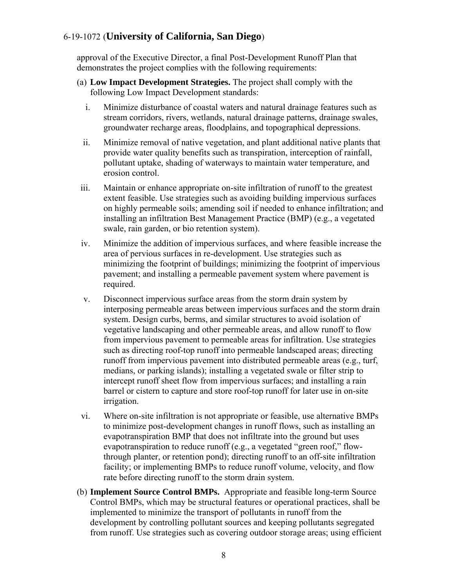approval of the Executive Director, a final Post-Development Runoff Plan that demonstrates the project complies with the following requirements:

- (a) **Low Impact Development Strategies.** The project shall comply with the following Low Impact Development standards:
	- i. Minimize disturbance of coastal waters and natural drainage features such as stream corridors, rivers, wetlands, natural drainage patterns, drainage swales, groundwater recharge areas, floodplains, and topographical depressions.
	- ii. Minimize removal of native vegetation, and plant additional native plants that provide water quality benefits such as transpiration, interception of rainfall, pollutant uptake, shading of waterways to maintain water temperature, and erosion control.
- iii. Maintain or enhance appropriate on-site infiltration of runoff to the greatest extent feasible. Use strategies such as avoiding building impervious surfaces on highly permeable soils; amending soil if needed to enhance infiltration; and installing an infiltration Best Management Practice (BMP) (e.g., a vegetated swale, rain garden, or bio retention system).
- iv. Minimize the addition of impervious surfaces, and where feasible increase the area of pervious surfaces in re-development. Use strategies such as minimizing the footprint of buildings; minimizing the footprint of impervious pavement; and installing a permeable pavement system where pavement is required.
- v. Disconnect impervious surface areas from the storm drain system by interposing permeable areas between impervious surfaces and the storm drain system. Design curbs, berms, and similar structures to avoid isolation of vegetative landscaping and other permeable areas, and allow runoff to flow from impervious pavement to permeable areas for infiltration. Use strategies such as directing roof-top runoff into permeable landscaped areas; directing runoff from impervious pavement into distributed permeable areas (e.g., turf, medians, or parking islands); installing a vegetated swale or filter strip to intercept runoff sheet flow from impervious surfaces; and installing a rain barrel or cistern to capture and store roof-top runoff for later use in on-site irrigation.
- vi. Where on-site infiltration is not appropriate or feasible, use alternative BMPs to minimize post-development changes in runoff flows, such as installing an evapotranspiration BMP that does not infiltrate into the ground but uses evapotranspiration to reduce runoff (e.g., a vegetated "green roof," flowthrough planter, or retention pond); directing runoff to an off-site infiltration facility; or implementing BMPs to reduce runoff volume, velocity, and flow rate before directing runoff to the storm drain system.
- (b) **Implement Source Control BMPs.** Appropriate and feasible long-term Source Control BMPs, which may be structural features or operational practices, shall be implemented to minimize the transport of pollutants in runoff from the development by controlling pollutant sources and keeping pollutants segregated from runoff. Use strategies such as covering outdoor storage areas; using efficient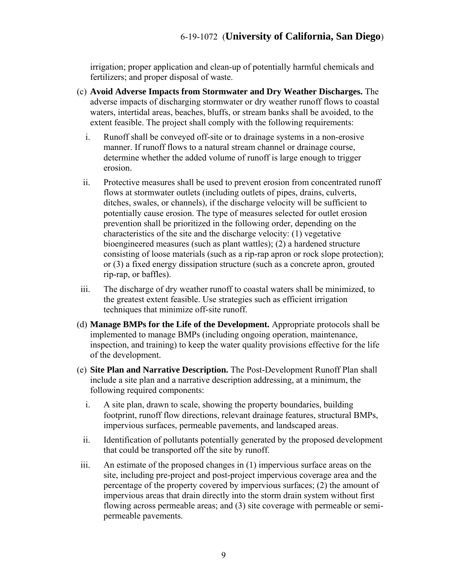irrigation; proper application and clean-up of potentially harmful chemicals and fertilizers; and proper disposal of waste.

- (c) **Avoid Adverse Impacts from Stormwater and Dry Weather Discharges.** The adverse impacts of discharging stormwater or dry weather runoff flows to coastal waters, intertidal areas, beaches, bluffs, or stream banks shall be avoided, to the extent feasible. The project shall comply with the following requirements:
	- i. Runoff shall be conveyed off-site or to drainage systems in a non-erosive manner. If runoff flows to a natural stream channel or drainage course, determine whether the added volume of runoff is large enough to trigger erosion.
	- ii. Protective measures shall be used to prevent erosion from concentrated runoff flows at stormwater outlets (including outlets of pipes, drains, culverts, ditches, swales, or channels), if the discharge velocity will be sufficient to potentially cause erosion. The type of measures selected for outlet erosion prevention shall be prioritized in the following order, depending on the characteristics of the site and the discharge velocity: (1) vegetative bioengineered measures (such as plant wattles); (2) a hardened structure consisting of loose materials (such as a rip-rap apron or rock slope protection); or (3) a fixed energy dissipation structure (such as a concrete apron, grouted rip-rap, or baffles).
- iii. The discharge of dry weather runoff to coastal waters shall be minimized, to the greatest extent feasible. Use strategies such as efficient irrigation techniques that minimize off-site runoff.
- (d) **Manage BMPs for the Life of the Development.** Appropriate protocols shall be implemented to manage BMPs (including ongoing operation, maintenance, inspection, and training) to keep the water quality provisions effective for the life of the development.
- (e) **Site Plan and Narrative Description.** The Post-Development Runoff Plan shall include a site plan and a narrative description addressing, at a minimum, the following required components:
	- i. A site plan, drawn to scale, showing the property boundaries, building footprint, runoff flow directions, relevant drainage features, structural BMPs, impervious surfaces, permeable pavements, and landscaped areas.
	- ii. Identification of pollutants potentially generated by the proposed development that could be transported off the site by runoff.
- iii. An estimate of the proposed changes in (1) impervious surface areas on the site, including pre-project and post-project impervious coverage area and the percentage of the property covered by impervious surfaces; (2) the amount of impervious areas that drain directly into the storm drain system without first flowing across permeable areas; and (3) site coverage with permeable or semipermeable pavements.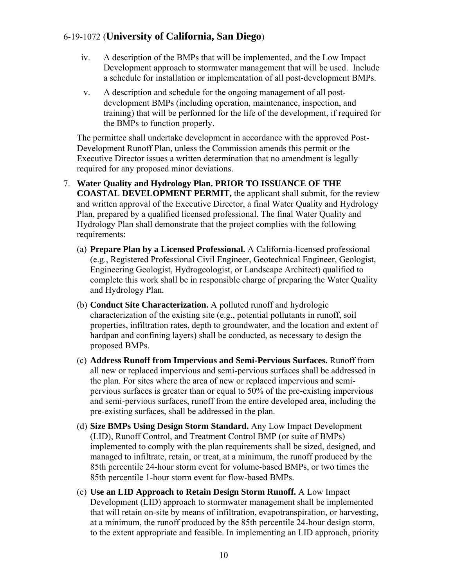- iv. A description of the BMPs that will be implemented, and the Low Impact Development approach to stormwater management that will be used. Include a schedule for installation or implementation of all post-development BMPs.
- v. A description and schedule for the ongoing management of all postdevelopment BMPs (including operation, maintenance, inspection, and training) that will be performed for the life of the development, if required for the BMPs to function properly.

The permittee shall undertake development in accordance with the approved Post-Development Runoff Plan, unless the Commission amends this permit or the Executive Director issues a written determination that no amendment is legally required for any proposed minor deviations.

- 7. **Water Quality and Hydrology Plan. PRIOR TO ISSUANCE OF THE COASTAL DEVELOPMENT PERMIT,** the applicant shall submit, for the review and written approval of the Executive Director, a final Water Quality and Hydrology Plan, prepared by a qualified licensed professional. The final Water Quality and Hydrology Plan shall demonstrate that the project complies with the following requirements:
	- (a) **Prepare Plan by a Licensed Professional.** A California-licensed professional (e.g., Registered Professional Civil Engineer, Geotechnical Engineer, Geologist, Engineering Geologist, Hydrogeologist, or Landscape Architect) qualified to complete this work shall be in responsible charge of preparing the Water Quality and Hydrology Plan.
	- (b) **Conduct Site Characterization.** A polluted runoff and hydrologic characterization of the existing site (e.g., potential pollutants in runoff, soil properties, infiltration rates, depth to groundwater, and the location and extent of hardpan and confining layers) shall be conducted, as necessary to design the proposed BMPs.
	- (c) **Address Runoff from Impervious and Semi-Pervious Surfaces.** Runoff from all new or replaced impervious and semi-pervious surfaces shall be addressed in the plan. For sites where the area of new or replaced impervious and semipervious surfaces is greater than or equal to 50% of the pre-existing impervious and semi-pervious surfaces, runoff from the entire developed area, including the pre-existing surfaces, shall be addressed in the plan.
	- (d) **Size BMPs Using Design Storm Standard.** Any Low Impact Development (LID), Runoff Control, and Treatment Control BMP (or suite of BMPs) implemented to comply with the plan requirements shall be sized, designed, and managed to infiltrate, retain, or treat, at a minimum, the runoff produced by the 85th percentile 24-hour storm event for volume-based BMPs, or two times the 85th percentile 1-hour storm event for flow-based BMPs.
	- (e) **Use an LID Approach to Retain Design Storm Runoff.** A Low Impact Development (LID) approach to stormwater management shall be implemented that will retain on-site by means of infiltration, evapotranspiration, or harvesting, at a minimum, the runoff produced by the 85th percentile 24-hour design storm, to the extent appropriate and feasible. In implementing an LID approach, priority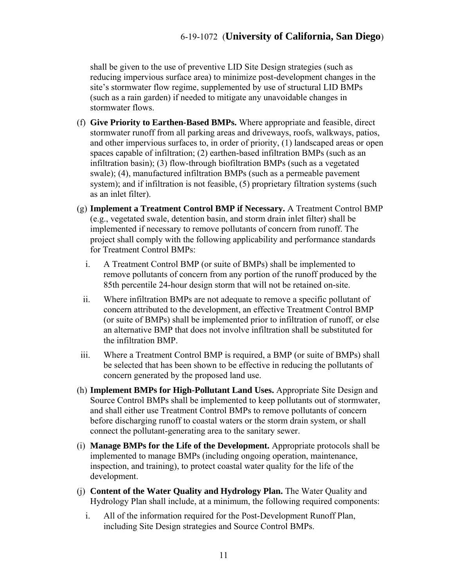shall be given to the use of preventive LID Site Design strategies (such as reducing impervious surface area) to minimize post-development changes in the site's stormwater flow regime, supplemented by use of structural LID BMPs (such as a rain garden) if needed to mitigate any unavoidable changes in stormwater flows.

- (f) **Give Priority to Earthen-Based BMPs.** Where appropriate and feasible, direct stormwater runoff from all parking areas and driveways, roofs, walkways, patios, and other impervious surfaces to, in order of priority, (1) landscaped areas or open spaces capable of infiltration; (2) earthen-based infiltration BMPs (such as an infiltration basin); (3) flow-through biofiltration BMPs (such as a vegetated swale); (4), manufactured infiltration BMPs (such as a permeable pavement system); and if infiltration is not feasible, (5) proprietary filtration systems (such as an inlet filter).
- (g) **Implement a Treatment Control BMP if Necessary.** A Treatment Control BMP (e.g., vegetated swale, detention basin, and storm drain inlet filter) shall be implemented if necessary to remove pollutants of concern from runoff. The project shall comply with the following applicability and performance standards for Treatment Control BMPs:
	- i. A Treatment Control BMP (or suite of BMPs) shall be implemented to remove pollutants of concern from any portion of the runoff produced by the 85th percentile 24-hour design storm that will not be retained on-site.
	- ii. Where infiltration BMPs are not adequate to remove a specific pollutant of concern attributed to the development, an effective Treatment Control BMP (or suite of BMPs) shall be implemented prior to infiltration of runoff, or else an alternative BMP that does not involve infiltration shall be substituted for the infiltration BMP.
- iii. Where a Treatment Control BMP is required, a BMP (or suite of BMPs) shall be selected that has been shown to be effective in reducing the pollutants of concern generated by the proposed land use.
- (h) **Implement BMPs for High-Pollutant Land Uses.** Appropriate Site Design and Source Control BMPs shall be implemented to keep pollutants out of stormwater, and shall either use Treatment Control BMPs to remove pollutants of concern before discharging runoff to coastal waters or the storm drain system, or shall connect the pollutant-generating area to the sanitary sewer.
- (i) **Manage BMPs for the Life of the Development.** Appropriate protocols shall be implemented to manage BMPs (including ongoing operation, maintenance, inspection, and training), to protect coastal water quality for the life of the development.
- (j) **Content of the Water Quality and Hydrology Plan.** The Water Quality and Hydrology Plan shall include, at a minimum, the following required components:
	- i. All of the information required for the Post-Development Runoff Plan, including Site Design strategies and Source Control BMPs.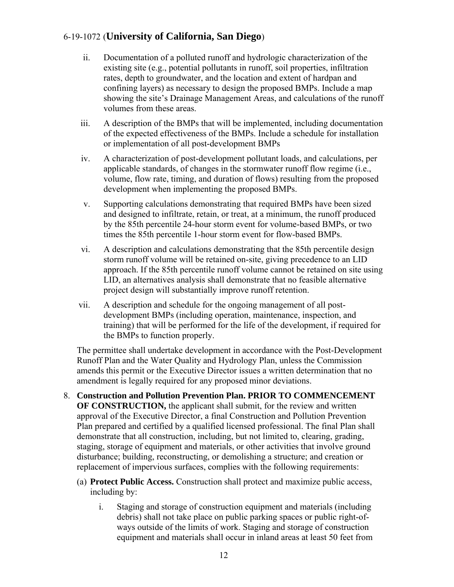- ii. Documentation of a polluted runoff and hydrologic characterization of the existing site (e.g., potential pollutants in runoff, soil properties, infiltration rates, depth to groundwater, and the location and extent of hardpan and confining layers) as necessary to design the proposed BMPs. Include a map showing the site's Drainage Management Areas, and calculations of the runoff volumes from these areas.
- iii. A description of the BMPs that will be implemented, including documentation of the expected effectiveness of the BMPs. Include a schedule for installation or implementation of all post-development BMPs
- iv. A characterization of post-development pollutant loads, and calculations, per applicable standards, of changes in the stormwater runoff flow regime (i.e., volume, flow rate, timing, and duration of flows) resulting from the proposed development when implementing the proposed BMPs.
- v. Supporting calculations demonstrating that required BMPs have been sized and designed to infiltrate, retain, or treat, at a minimum, the runoff produced by the 85th percentile 24-hour storm event for volume-based BMPs, or two times the 85th percentile 1-hour storm event for flow-based BMPs.
- vi. A description and calculations demonstrating that the 85th percentile design storm runoff volume will be retained on-site, giving precedence to an LID approach. If the 85th percentile runoff volume cannot be retained on site using LID, an alternatives analysis shall demonstrate that no feasible alternative project design will substantially improve runoff retention.
- vii. A description and schedule for the ongoing management of all postdevelopment BMPs (including operation, maintenance, inspection, and training) that will be performed for the life of the development, if required for the BMPs to function properly.

The permittee shall undertake development in accordance with the Post-Development Runoff Plan and the Water Quality and Hydrology Plan, unless the Commission amends this permit or the Executive Director issues a written determination that no amendment is legally required for any proposed minor deviations.

- 8. **Construction and Pollution Prevention Plan. PRIOR TO COMMENCEMENT OF CONSTRUCTION,** the applicant shall submit, for the review and written approval of the Executive Director, a final Construction and Pollution Prevention Plan prepared and certified by a qualified licensed professional. The final Plan shall demonstrate that all construction, including, but not limited to, clearing, grading, staging, storage of equipment and materials, or other activities that involve ground disturbance; building, reconstructing, or demolishing a structure; and creation or replacement of impervious surfaces, complies with the following requirements:
	- (a) **Protect Public Access.** Construction shall protect and maximize public access, including by:
		- i. Staging and storage of construction equipment and materials (including debris) shall not take place on public parking spaces or public right-ofways outside of the limits of work. Staging and storage of construction equipment and materials shall occur in inland areas at least 50 feet from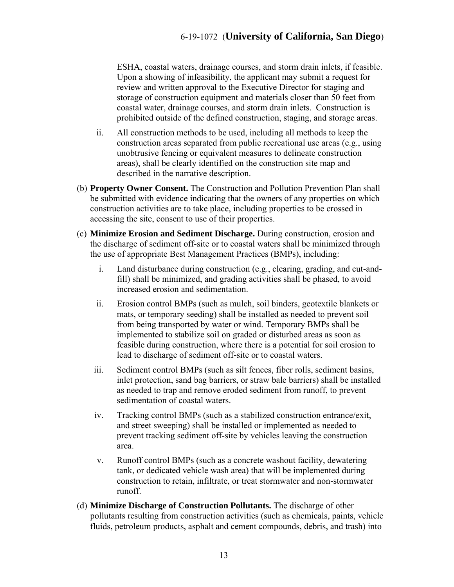ESHA, coastal waters, drainage courses, and storm drain inlets, if feasible. Upon a showing of infeasibility, the applicant may submit a request for review and written approval to the Executive Director for staging and storage of construction equipment and materials closer than 50 feet from coastal water, drainage courses, and storm drain inlets. Construction is prohibited outside of the defined construction, staging, and storage areas.

- ii. All construction methods to be used, including all methods to keep the construction areas separated from public recreational use areas (e.g., using unobtrusive fencing or equivalent measures to delineate construction areas), shall be clearly identified on the construction site map and described in the narrative description.
- (b) **Property Owner Consent.** The Construction and Pollution Prevention Plan shall be submitted with evidence indicating that the owners of any properties on which construction activities are to take place, including properties to be crossed in accessing the site, consent to use of their properties.
- (c) **Minimize Erosion and Sediment Discharge.** During construction, erosion and the discharge of sediment off-site or to coastal waters shall be minimized through the use of appropriate Best Management Practices (BMPs), including:
	- i. Land disturbance during construction (e.g., clearing, grading, and cut-andfill) shall be minimized, and grading activities shall be phased, to avoid increased erosion and sedimentation.
	- ii. Erosion control BMPs (such as mulch, soil binders, geotextile blankets or mats, or temporary seeding) shall be installed as needed to prevent soil from being transported by water or wind. Temporary BMPs shall be implemented to stabilize soil on graded or disturbed areas as soon as feasible during construction, where there is a potential for soil erosion to lead to discharge of sediment off-site or to coastal waters.
	- iii. Sediment control BMPs (such as silt fences, fiber rolls, sediment basins, inlet protection, sand bag barriers, or straw bale barriers) shall be installed as needed to trap and remove eroded sediment from runoff, to prevent sedimentation of coastal waters.
	- iv. Tracking control BMPs (such as a stabilized construction entrance/exit, and street sweeping) shall be installed or implemented as needed to prevent tracking sediment off-site by vehicles leaving the construction area.
	- v. Runoff control BMPs (such as a concrete washout facility, dewatering tank, or dedicated vehicle wash area) that will be implemented during construction to retain, infiltrate, or treat stormwater and non-stormwater runoff.
- (d) **Minimize Discharge of Construction Pollutants.** The discharge of other pollutants resulting from construction activities (such as chemicals, paints, vehicle fluids, petroleum products, asphalt and cement compounds, debris, and trash) into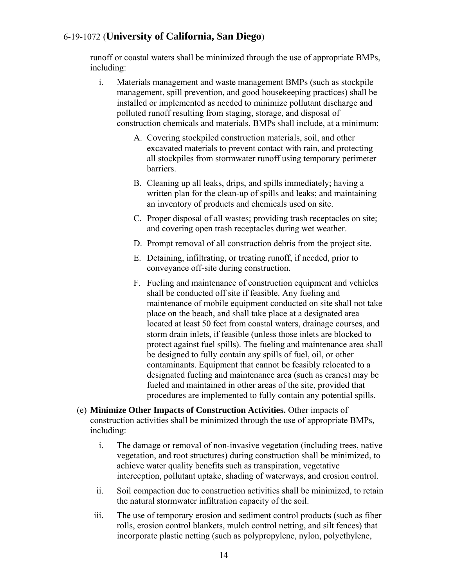runoff or coastal waters shall be minimized through the use of appropriate BMPs, including:

- i. Materials management and waste management BMPs (such as stockpile management, spill prevention, and good housekeeping practices) shall be installed or implemented as needed to minimize pollutant discharge and polluted runoff resulting from staging, storage, and disposal of construction chemicals and materials. BMPs shall include, at a minimum:
	- A. Covering stockpiled construction materials, soil, and other excavated materials to prevent contact with rain, and protecting all stockpiles from stormwater runoff using temporary perimeter barriers.
	- B. Cleaning up all leaks, drips, and spills immediately; having a written plan for the clean-up of spills and leaks; and maintaining an inventory of products and chemicals used on site.
	- C. Proper disposal of all wastes; providing trash receptacles on site; and covering open trash receptacles during wet weather.
	- D. Prompt removal of all construction debris from the project site.
	- E. Detaining, infiltrating, or treating runoff, if needed, prior to conveyance off-site during construction.
	- F. Fueling and maintenance of construction equipment and vehicles shall be conducted off site if feasible. Any fueling and maintenance of mobile equipment conducted on site shall not take place on the beach, and shall take place at a designated area located at least 50 feet from coastal waters, drainage courses, and storm drain inlets, if feasible (unless those inlets are blocked to protect against fuel spills). The fueling and maintenance area shall be designed to fully contain any spills of fuel, oil, or other contaminants. Equipment that cannot be feasibly relocated to a designated fueling and maintenance area (such as cranes) may be fueled and maintained in other areas of the site, provided that procedures are implemented to fully contain any potential spills.
- (e) **Minimize Other Impacts of Construction Activities.** Other impacts of construction activities shall be minimized through the use of appropriate BMPs, including:
	- i. The damage or removal of non-invasive vegetation (including trees, native vegetation, and root structures) during construction shall be minimized, to achieve water quality benefits such as transpiration, vegetative interception, pollutant uptake, shading of waterways, and erosion control.
	- ii. Soil compaction due to construction activities shall be minimized, to retain the natural stormwater infiltration capacity of the soil.
	- iii. The use of temporary erosion and sediment control products (such as fiber rolls, erosion control blankets, mulch control netting, and silt fences) that incorporate plastic netting (such as polypropylene, nylon, polyethylene,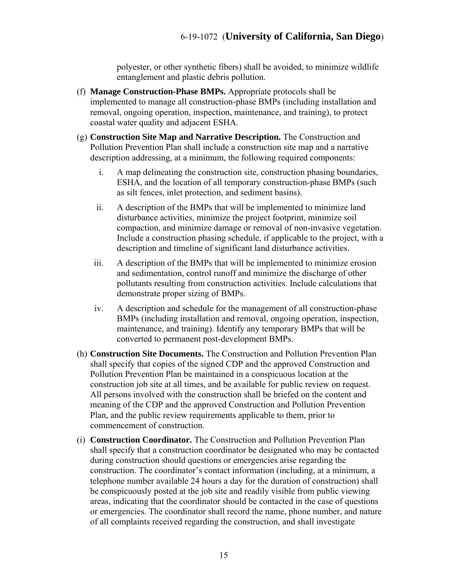polyester, or other synthetic fibers) shall be avoided, to minimize wildlife entanglement and plastic debris pollution.

- (f) **Manage Construction-Phase BMPs.** Appropriate protocols shall be implemented to manage all construction-phase BMPs (including installation and removal, ongoing operation, inspection, maintenance, and training), to protect coastal water quality and adjacent ESHA.
- (g) **Construction Site Map and Narrative Description.** The Construction and Pollution Prevention Plan shall include a construction site map and a narrative description addressing, at a minimum, the following required components:
	- i. A map delineating the construction site, construction phasing boundaries, ESHA, and the location of all temporary construction-phase BMPs (such as silt fences, inlet protection, and sediment basins).
	- ii. A description of the BMPs that will be implemented to minimize land disturbance activities, minimize the project footprint, minimize soil compaction, and minimize damage or removal of non-invasive vegetation. Include a construction phasing schedule, if applicable to the project, with a description and timeline of significant land disturbance activities.
	- iii. A description of the BMPs that will be implemented to minimize erosion and sedimentation, control runoff and minimize the discharge of other pollutants resulting from construction activities. Include calculations that demonstrate proper sizing of BMPs.
	- iv. A description and schedule for the management of all construction-phase BMPs (including installation and removal, ongoing operation, inspection, maintenance, and training). Identify any temporary BMPs that will be converted to permanent post-development BMPs.
- (h) **Construction Site Documents.** The Construction and Pollution Prevention Plan shall specify that copies of the signed CDP and the approved Construction and Pollution Prevention Plan be maintained in a conspicuous location at the construction job site at all times, and be available for public review on request. All persons involved with the construction shall be briefed on the content and meaning of the CDP and the approved Construction and Pollution Prevention Plan, and the public review requirements applicable to them, prior to commencement of construction.
- (i) **Construction Coordinator.** The Construction and Pollution Prevention Plan shall specify that a construction coordinator be designated who may be contacted during construction should questions or emergencies arise regarding the construction. The coordinator's contact information (including, at a minimum, a telephone number available 24 hours a day for the duration of construction) shall be conspicuously posted at the job site and readily visible from public viewing areas, indicating that the coordinator should be contacted in the case of questions or emergencies. The coordinator shall record the name, phone number, and nature of all complaints received regarding the construction, and shall investigate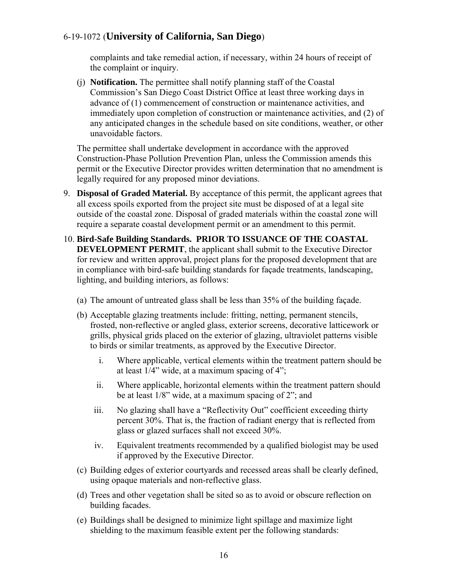complaints and take remedial action, if necessary, within 24 hours of receipt of the complaint or inquiry.

(j) **Notification.** The permittee shall notify planning staff of the Coastal Commission's San Diego Coast District Office at least three working days in advance of (1) commencement of construction or maintenance activities, and immediately upon completion of construction or maintenance activities, and (2) of any anticipated changes in the schedule based on site conditions, weather, or other unavoidable factors.

The permittee shall undertake development in accordance with the approved Construction-Phase Pollution Prevention Plan, unless the Commission amends this permit or the Executive Director provides written determination that no amendment is legally required for any proposed minor deviations.

- 9. **Disposal of Graded Material.** By acceptance of this permit, the applicant agrees that all excess spoils exported from the project site must be disposed of at a legal site outside of the coastal zone. Disposal of graded materials within the coastal zone will require a separate coastal development permit or an amendment to this permit.
- 10. **Bird-Safe Building Standards. PRIOR TO ISSUANCE OF THE COASTAL DEVELOPMENT PERMIT**, the applicant shall submit to the Executive Director for review and written approval, project plans for the proposed development that are in compliance with bird-safe building standards for façade treatments, landscaping, lighting, and building interiors, as follows:
	- (a) The amount of untreated glass shall be less than 35% of the building façade.
	- (b) Acceptable glazing treatments include: fritting, netting, permanent stencils, frosted, non-reflective or angled glass, exterior screens, decorative latticework or grills, physical grids placed on the exterior of glazing, ultraviolet patterns visible to birds or similar treatments, as approved by the Executive Director.
		- i. Where applicable, vertical elements within the treatment pattern should be at least 1/4" wide, at a maximum spacing of 4";
		- ii. Where applicable, horizontal elements within the treatment pattern should be at least 1/8" wide, at a maximum spacing of 2"; and
		- iii. No glazing shall have a "Reflectivity Out" coefficient exceeding thirty percent 30%. That is, the fraction of radiant energy that is reflected from glass or glazed surfaces shall not exceed 30%.
		- iv. Equivalent treatments recommended by a qualified biologist may be used if approved by the Executive Director.
	- (c) Building edges of exterior courtyards and recessed areas shall be clearly defined, using opaque materials and non-reflective glass.
	- (d) Trees and other vegetation shall be sited so as to avoid or obscure reflection on building facades.
	- (e) Buildings shall be designed to minimize light spillage and maximize light shielding to the maximum feasible extent per the following standards: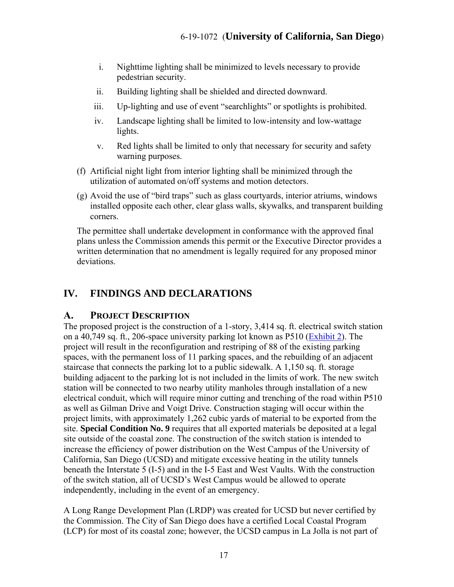- i. Nighttime lighting shall be minimized to levels necessary to provide pedestrian security.
- ii. Building lighting shall be shielded and directed downward.
- iii. Up-lighting and use of event "searchlights" or spotlights is prohibited.
- iv. Landscape lighting shall be limited to low-intensity and low-wattage lights.
- v. Red lights shall be limited to only that necessary for security and safety warning purposes.
- (f) Artificial night light from interior lighting shall be minimized through the utilization of automated on/off systems and motion detectors.
- (g) Avoid the use of "bird traps" such as glass courtyards, interior atriums, windows installed opposite each other, clear glass walls, skywalks, and transparent building corners.

The permittee shall undertake development in conformance with the approved final plans unless the Commission amends this permit or the Executive Director provides a written determination that no amendment is legally required for any proposed minor deviations.

#### <span id="page-16-0"></span>**IV. FINDINGS AND DECLARATIONS**

#### <span id="page-16-1"></span>**A. PROJECT DESCRIPTION**

The proposed project is the construction of a 1-story, 3,414 sq. ft. electrical switch station on a 40,749 sq. ft., 206-space university parking lot known as P510 [\(Exhibit 2\)](https://documents.coastal.ca.gov/reports/2020/2/f6b/f6b-2-2020-exhibits.pdf). The project will result in the reconfiguration and restriping of 88 of the existing parking spaces, with the permanent loss of 11 parking spaces, and the rebuilding of an adjacent staircase that connects the parking lot to a public sidewalk. A 1,150 sq. ft. storage building adjacent to the parking lot is not included in the limits of work. The new switch station will be connected to two nearby utility manholes through installation of a new electrical conduit, which will require minor cutting and trenching of the road within P510 as well as Gilman Drive and Voigt Drive. Construction staging will occur within the project limits, with approximately 1,262 cubic yards of material to be exported from the site. **Special Condition No. 9** requires that all exported materials be deposited at a legal site outside of the coastal zone. The construction of the switch station is intended to increase the efficiency of power distribution on the West Campus of the University of California, San Diego (UCSD) and mitigate excessive heating in the utility tunnels beneath the Interstate 5 (I-5) and in the I-5 East and West Vaults. With the construction of the switch station, all of UCSD's West Campus would be allowed to operate independently, including in the event of an emergency.

A Long Range Development Plan (LRDP) was created for UCSD but never certified by the Commission. The City of San Diego does have a certified Local Coastal Program (LCP) for most of its coastal zone; however, the UCSD campus in La Jolla is not part of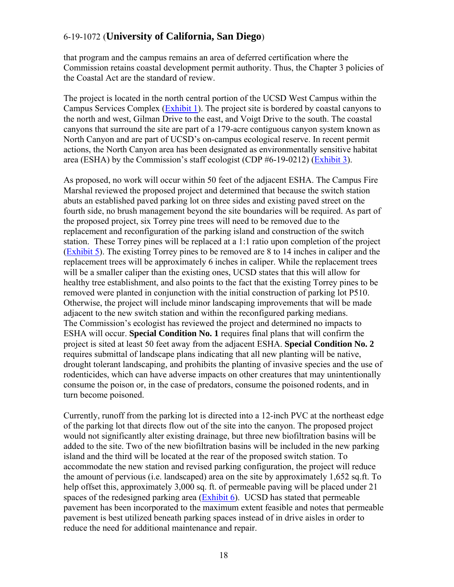that program and the campus remains an area of deferred certification where the Commission retains coastal development permit authority. Thus, the Chapter 3 policies of the Coastal Act are the standard of review.

The project is located in the north central portion of the UCSD West Campus within the Campus Services Complex [\(Exhibit 1\)](https://documents.coastal.ca.gov/reports/2020/2/f6b/f6b-2-2020-exhibits.pdf). The project site is bordered by coastal canyons to the north and west, Gilman Drive to the east, and Voigt Drive to the south. The coastal canyons that surround the site are part of a 179-acre contiguous canyon system known as North Canyon and are part of UCSD's on-campus ecological reserve. In recent permit actions, the North Canyon area has been designated as environmentally sensitive habitat area (ESHA) by the Commission's staff ecologist (CDP #6-19-0212) [\(Exhibit 3\)](https://documents.coastal.ca.gov/reports/2020/2/f6b/f6b-2-2020-exhibits.pdf).

As proposed, no work will occur within 50 feet of the adjacent ESHA. The Campus Fire Marshal reviewed the proposed project and determined that because the switch station abuts an established paved parking lot on three sides and existing paved street on the fourth side, no brush management beyond the site boundaries will be required. As part of the proposed project, six Torrey pine trees will need to be removed due to the replacement and reconfiguration of the parking island and construction of the switch station. These Torrey pines will be replaced at a 1:1 ratio upon completion of the project [\(Exhibit 5\)](https://documents.coastal.ca.gov/reports/2020/2/f6b/f6b-2-2020-exhibits.pdf). The existing Torrey pines to be removed are 8 to 14 inches in caliper and the replacement trees will be approximately 6 inches in caliper. While the replacement trees will be a smaller caliper than the existing ones, UCSD states that this will allow for healthy tree establishment, and also points to the fact that the existing Torrey pines to be removed were planted in conjunction with the initial construction of parking lot P510. Otherwise, the project will include minor landscaping improvements that will be made adjacent to the new switch station and within the reconfigured parking medians. The Commission's ecologist has reviewed the project and determined no impacts to ESHA will occur. **Special Condition No. 1** requires final plans that will confirm the project is sited at least 50 feet away from the adjacent ESHA. **Special Condition No. 2** requires submittal of landscape plans indicating that all new planting will be native, drought tolerant landscaping, and prohibits the planting of invasive species and the use of rodenticides, which can have adverse impacts on other creatures that may unintentionally consume the poison or, in the case of predators, consume the poisoned rodents, and in turn become poisoned.

Currently, runoff from the parking lot is directed into a 12-inch PVC at the northeast edge of the parking lot that directs flow out of the site into the canyon. The proposed project would not significantly alter existing drainage, but three new biofiltration basins will be added to the site. Two of the new biofiltration basins will be included in the new parking island and the third will be located at the rear of the proposed switch station. To accommodate the new station and revised parking configuration, the project will reduce the amount of pervious (i.e. landscaped) area on the site by approximately 1,652 sq.ft. To help offset this, approximately 3,000 sq. ft. of permeable paving will be placed under 21 spaces of the redesigned parking area  $(Exhibit 6)$ . UCSD has stated that permeable pavement has been incorporated to the maximum extent feasible and notes that permeable pavement is best utilized beneath parking spaces instead of in drive aisles in order to reduce the need for additional maintenance and repair.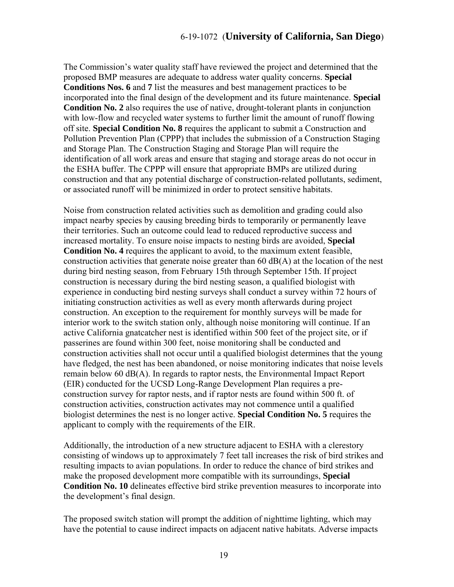The Commission's water quality staff have reviewed the project and determined that the proposed BMP measures are adequate to address water quality concerns. **Special Conditions Nos. 6** and **7** list the measures and best management practices to be incorporated into the final design of the development and its future maintenance. **Special Condition No. 2** also requires the use of native, drought-tolerant plants in conjunction with low-flow and recycled water systems to further limit the amount of runoff flowing off site. **Special Condition No. 8** requires the applicant to submit a Construction and Pollution Prevention Plan (CPPP) that includes the submission of a Construction Staging and Storage Plan. The Construction Staging and Storage Plan will require the identification of all work areas and ensure that staging and storage areas do not occur in the ESHA buffer. The CPPP will ensure that appropriate BMPs are utilized during construction and that any potential discharge of construction-related pollutants, sediment, or associated runoff will be minimized in order to protect sensitive habitats.

Noise from construction related activities such as demolition and grading could also impact nearby species by causing breeding birds to temporarily or permanently leave their territories. Such an outcome could lead to reduced reproductive success and increased mortality. To ensure noise impacts to nesting birds are avoided, **Special Condition No. 4** requires the applicant to avoid, to the maximum extent feasible, construction activities that generate noise greater than 60 dB(A) at the location of the nest during bird nesting season, from February 15th through September 15th. If project construction is necessary during the bird nesting season, a qualified biologist with experience in conducting bird nesting surveys shall conduct a survey within 72 hours of initiating construction activities as well as every month afterwards during project construction. An exception to the requirement for monthly surveys will be made for interior work to the switch station only, although noise monitoring will continue. If an active California gnatcatcher nest is identified within 500 feet of the project site, or if passerines are found within 300 feet, noise monitoring shall be conducted and construction activities shall not occur until a qualified biologist determines that the young have fledged, the nest has been abandoned, or noise monitoring indicates that noise levels remain below 60 dB(A). In regards to raptor nests, the Environmental Impact Report (EIR) conducted for the UCSD Long-Range Development Plan requires a preconstruction survey for raptor nests, and if raptor nests are found within 500 ft. of construction activities, construction activates may not commence until a qualified biologist determines the nest is no longer active. **Special Condition No. 5** requires the applicant to comply with the requirements of the EIR.

Additionally, the introduction of a new structure adjacent to ESHA with a clerestory consisting of windows up to approximately 7 feet tall increases the risk of bird strikes and resulting impacts to avian populations. In order to reduce the chance of bird strikes and make the proposed development more compatible with its surroundings, **Special Condition No. 10** delineates effective bird strike prevention measures to incorporate into the development's final design.

The proposed switch station will prompt the addition of nighttime lighting, which may have the potential to cause indirect impacts on adjacent native habitats. Adverse impacts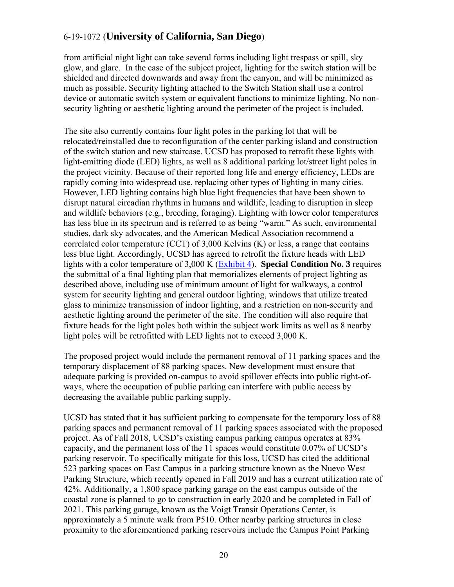from artificial night light can take several forms including light trespass or spill, sky glow, and glare. In the case of the subject project, lighting for the switch station will be shielded and directed downwards and away from the canyon, and will be minimized as much as possible. Security lighting attached to the Switch Station shall use a control device or automatic switch system or equivalent functions to minimize lighting. No nonsecurity lighting or aesthetic lighting around the perimeter of the project is included.

The site also currently contains four light poles in the parking lot that will be relocated/reinstalled due to reconfiguration of the center parking island and construction of the switch station and new staircase. UCSD has proposed to retrofit these lights with light-emitting diode (LED) lights, as well as 8 additional parking lot/street light poles in the project vicinity. Because of their reported long life and energy efficiency, LEDs are rapidly coming into widespread use, replacing other types of lighting in many cities. However, LED lighting contains high blue light frequencies that have been shown to disrupt natural circadian rhythms in humans and wildlife, leading to disruption in sleep and wildlife behaviors (e.g., breeding, foraging). Lighting with lower color temperatures has less blue in its spectrum and is referred to as being "warm." As such, environmental studies, dark sky advocates, and the American Medical Association recommend a correlated color temperature (CCT) of  $3,000$  Kelvins (K) or less, a range that contains less blue light. Accordingly, UCSD has agreed to retrofit the fixture heads with LED lights with a color temperature of 3,000 K [\(Exhibit 4\)](https://documents.coastal.ca.gov/reports/2020/2/f6b/f6b-2-2020-exhibits.pdf). **Special Condition No. 3** requires the submittal of a final lighting plan that memorializes elements of project lighting as described above, including use of minimum amount of light for walkways, a control system for security lighting and general outdoor lighting, windows that utilize treated glass to minimize transmission of indoor lighting, and a restriction on non-security and aesthetic lighting around the perimeter of the site. The condition will also require that fixture heads for the light poles both within the subject work limits as well as 8 nearby light poles will be retrofitted with LED lights not to exceed 3,000 K.

The proposed project would include the permanent removal of 11 parking spaces and the temporary displacement of 88 parking spaces. New development must ensure that adequate parking is provided on-campus to avoid spillover effects into public right-ofways, where the occupation of public parking can interfere with public access by decreasing the available public parking supply.

UCSD has stated that it has sufficient parking to compensate for the temporary loss of 88 parking spaces and permanent removal of 11 parking spaces associated with the proposed project. As of Fall 2018, UCSD's existing campus parking campus operates at 83% capacity, and the permanent loss of the 11 spaces would constitute 0.07% of UCSD's parking reservoir. To specifically mitigate for this loss, UCSD has cited the additional 523 parking spaces on East Campus in a parking structure known as the Nuevo West Parking Structure, which recently opened in Fall 2019 and has a current utilization rate of 42%. Additionally, a 1,800 space parking garage on the east campus outside of the coastal zone is planned to go to construction in early 2020 and be completed in Fall of 2021. This parking garage, known as the Voigt Transit Operations Center, is approximately a 5 minute walk from P510. Other nearby parking structures in close proximity to the aforementioned parking reservoirs include the Campus Point Parking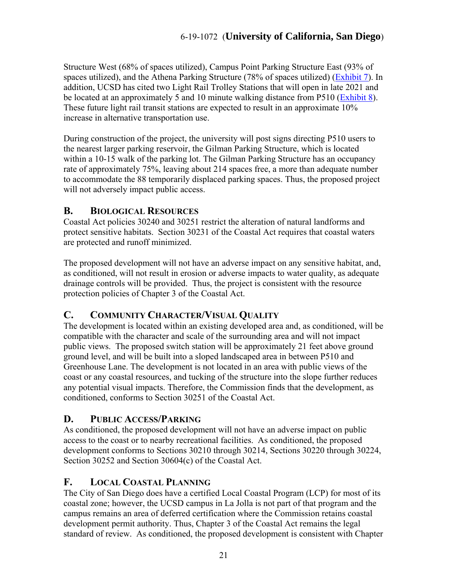Structure West (68% of spaces utilized), Campus Point Parking Structure East (93% of spaces utilized), and the Athena Parking Structure (78% of spaces utilized) ( $\frac{Exhibit 7}{B}$ . In addition, UCSD has cited two Light Rail Trolley Stations that will open in late 2021 and be located at an approximately 5 and 10 minute walking distance from P510 [\(Exhibit 8\)](https://documents.coastal.ca.gov/reports/2020/2/f6b/f6b-2-2020-exhibits.pdf). These future light rail transit stations are expected to result in an approximate 10% increase in alternative transportation use.

During construction of the project, the university will post signs directing P510 users to the nearest larger parking reservoir, the Gilman Parking Structure, which is located within a 10-15 walk of the parking lot. The Gilman Parking Structure has an occupancy rate of approximately 75%, leaving about 214 spaces free, a more than adequate number to accommodate the 88 temporarily displaced parking spaces. Thus, the proposed project will not adversely impact public access.

#### <span id="page-20-0"></span>**B. BIOLOGICAL RESOURCES**

Coastal Act policies 30240 and 30251 restrict the alteration of natural landforms and protect sensitive habitats. Section 30231 of the Coastal Act requires that coastal waters are protected and runoff minimized.

The proposed development will not have an adverse impact on any sensitive habitat, and, as conditioned, will not result in erosion or adverse impacts to water quality, as adequate drainage controls will be provided. Thus, the project is consistent with the resource protection policies of Chapter 3 of the Coastal Act.

#### <span id="page-20-1"></span>**C. COMMUNITY CHARACTER/VISUAL QUALITY**

The development is located within an existing developed area and, as conditioned, will be compatible with the character and scale of the surrounding area and will not impact public views. The proposed switch station will be approximately 21 feet above ground ground level, and will be built into a sloped landscaped area in between P510 and Greenhouse Lane. The development is not located in an area with public views of the coast or any coastal resources, and tucking of the structure into the slope further reduces any potential visual impacts. Therefore, the Commission finds that the development, as conditioned, conforms to Section 30251 of the Coastal Act.

#### <span id="page-20-2"></span>**D. PUBLIC ACCESS/PARKING**

As conditioned, the proposed development will not have an adverse impact on public access to the coast or to nearby recreational facilities. As conditioned, the proposed development conforms to Sections 30210 through 30214, Sections 30220 through 30224, Section 30252 and Section 30604(c) of the Coastal Act.

#### <span id="page-20-3"></span>**F. LOCAL COASTAL PLANNING**

The City of San Diego does have a certified Local Coastal Program (LCP) for most of its coastal zone; however, the UCSD campus in La Jolla is not part of that program and the campus remains an area of deferred certification where the Commission retains coastal development permit authority. Thus, Chapter 3 of the Coastal Act remains the legal standard of review. As conditioned, the proposed development is consistent with Chapter